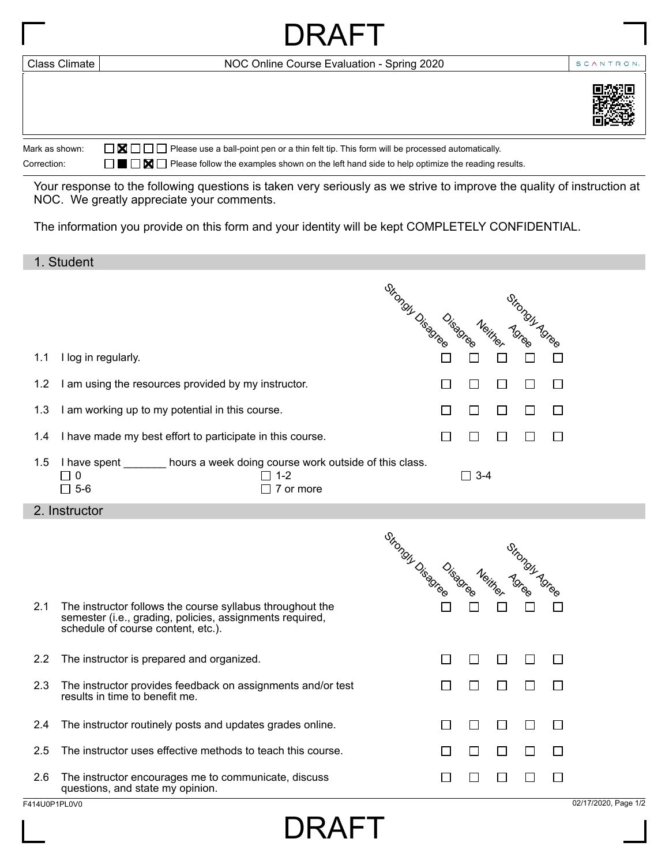|                | DRAFT                                                                                                                  |           |
|----------------|------------------------------------------------------------------------------------------------------------------------|-----------|
| Class Climate  | NOC Online Course Evaluation - Spring 2020                                                                             | SCANTRON. |
|                |                                                                                                                        |           |
| Mark as shown: | $\Box$ $\Box$ $\Box$ $\Box$ Please use a ball-point pen or a thin felt tip. This form will be processed automatically. |           |
| Correction:    | ■ ■ Please follow the examples shown on the left hand side to help optimize the reading results.                       |           |

Your response to the following questions is taken very seriously as we strive to improve the quality of instruction at NOC. We greatly appreciate your comments.

The information you provide on this form and your identity will be kept COMPLETELY CONFIDENTIAL.

## 1. Student

|                      |                                                                                                                                                             | Strongy Disagree Neither<br>Stronger Creek                        |
|----------------------|-------------------------------------------------------------------------------------------------------------------------------------------------------------|-------------------------------------------------------------------|
| 1.1                  | I log in regularly.                                                                                                                                         |                                                                   |
| 1.2                  | I am using the resources provided by my instructor.                                                                                                         | П<br>$\Box$<br>$\Box$<br>$\Box$<br>□                              |
| 1.3                  | I am working up to my potential in this course.                                                                                                             | $\Box$<br>$\Box$<br>□<br>$\Box$<br>$\Box$                         |
| 1.4                  | I have made my best effort to participate in this course.                                                                                                   | П<br>$\Box$<br>$\Box$<br>$\Box$<br>$\Box$                         |
| 1.5                  | I have spent ________ hours a week doing course work outside of this class.<br>$\Box$ 0<br>$\Box$ 1-2<br>$\square$ 5-6<br>$\Box$ 7 or more                  | $\Box$ 3-4                                                        |
|                      | 2. Instructor                                                                                                                                               |                                                                   |
|                      |                                                                                                                                                             | Strongly Disagree Neither<br>Strong Tunes                         |
| 2.1                  | The instructor follows the course syllabus throughout the<br>semester (i.e., grading, policies, assignments required,<br>schedule of course content, etc.). |                                                                   |
| 2.2                  | The instructor is prepared and organized.                                                                                                                   | $\Box$<br>$\Box$<br>П<br>$\Box$<br>$\Box$                         |
| 2.3                  | The instructor provides feedback on assignments and/or test<br>results in time to benefit me.                                                               | $\Box$<br>$\Box$<br>$\Box$<br>$\Box$<br>$\Box$                    |
| 2.4                  | The instructor routinely posts and updates grades online.                                                                                                   | $\Box$<br>$\Box$<br>$\Box$<br>□<br>$\Box$                         |
| 2.5                  | The instructor uses effective methods to teach this course.                                                                                                 | $\Box$<br>П<br>$\Box$<br>$\Box$<br>$\Box$                         |
| 2.6<br>F414U0P1PL0V0 | The instructor encourages me to communicate, discuss<br>questions, and state my opinion.                                                                    | $\Box$<br>$\Box$<br>П<br>$\Box$<br>$\Box$<br>02/17/2020, Page 1/2 |